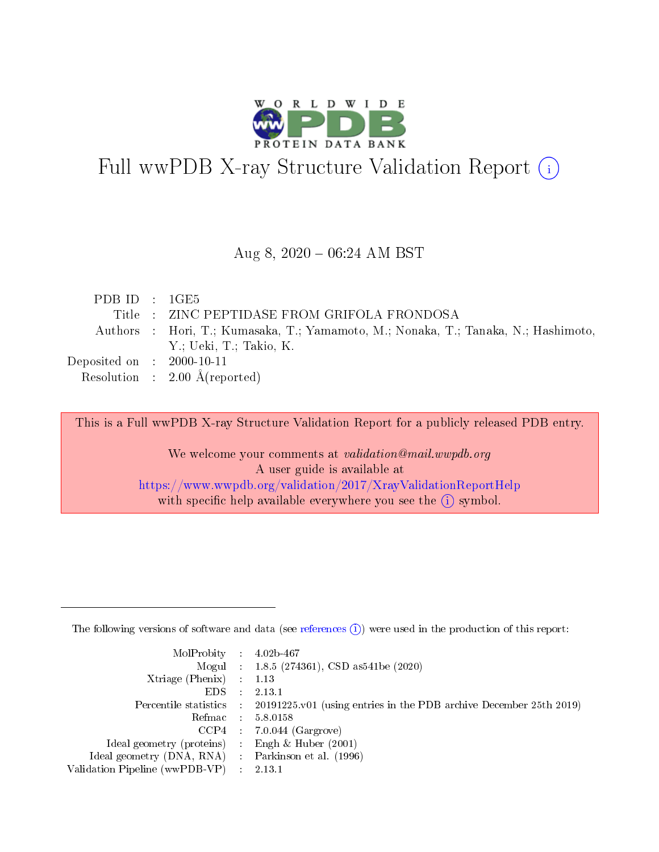

# Full wwPDB X-ray Structure Validation Report (i)

#### Aug 8,  $2020 - 06:24$  AM BST

| PDBID : 1GE5                         |                                                                                    |
|--------------------------------------|------------------------------------------------------------------------------------|
|                                      | Title : ZINC PEPTIDASE FROM GRIFOLA FRONDOSA                                       |
|                                      | Authors : Hori, T.; Kumasaka, T.; Yamamoto, M.; Nonaka, T.; Tanaka, N.; Hashimoto, |
|                                      | Y.; Ueki, T.; Takio, K.                                                            |
| Deposited on $\therefore$ 2000-10-11 |                                                                                    |
|                                      | Resolution : $2.00 \text{ Å}$ (reported)                                           |

This is a Full wwPDB X-ray Structure Validation Report for a publicly released PDB entry.

We welcome your comments at validation@mail.wwpdb.org A user guide is available at <https://www.wwpdb.org/validation/2017/XrayValidationReportHelp> with specific help available everywhere you see the  $(i)$  symbol.

The following versions of software and data (see [references](https://www.wwpdb.org/validation/2017/XrayValidationReportHelp#references)  $(1)$ ) were used in the production of this report:

| $MolProbability$ : 4.02b-467                      |               |                                                                                            |
|---------------------------------------------------|---------------|--------------------------------------------------------------------------------------------|
|                                                   |               | Mogul : 1.8.5 (274361), CSD as 541be (2020)                                                |
| Xtriage (Phenix)                                  |               | $\therefore$ 1.13                                                                          |
| EDS -                                             | $\mathcal{L}$ | 2.13.1                                                                                     |
|                                                   |               | Percentile statistics : 20191225.v01 (using entries in the PDB archive December 25th 2019) |
|                                                   |               | Refmac 5.8.0158                                                                            |
| CCP4                                              |               | $7.0.044$ (Gargrove)                                                                       |
| Ideal geometry (proteins)                         | $\mathcal{L}$ | Engh $\&$ Huber (2001)                                                                     |
| Ideal geometry (DNA, RNA) Parkinson et al. (1996) |               |                                                                                            |
| Validation Pipeline (wwPDB-VP)                    |               | $\therefore$ 2.13.1                                                                        |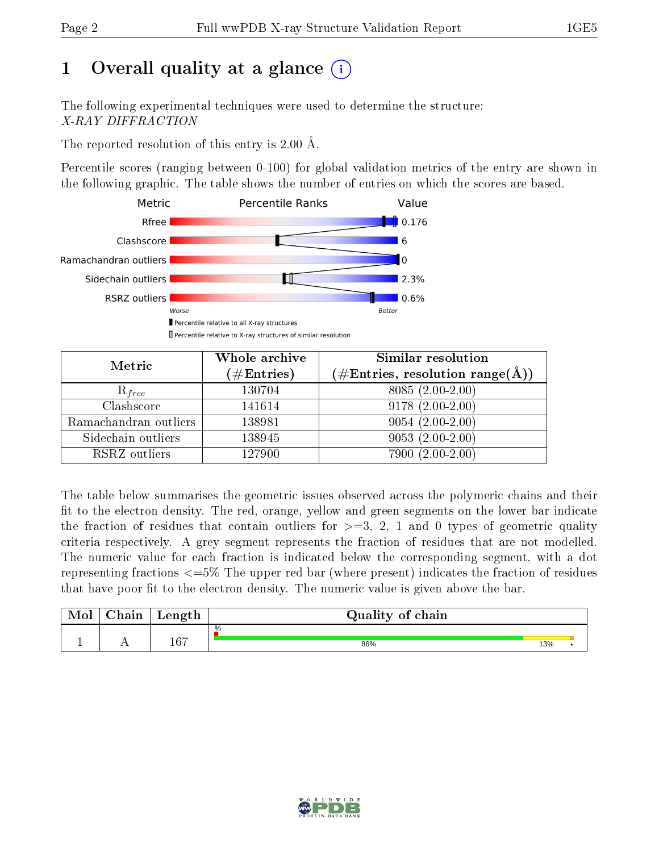# 1 [O](https://www.wwpdb.org/validation/2017/XrayValidationReportHelp#overall_quality)verall quality at a glance  $(i)$

The following experimental techniques were used to determine the structure: X-RAY DIFFRACTION

The reported resolution of this entry is 2.00 Å.

Percentile scores (ranging between 0-100) for global validation metrics of the entry are shown in the following graphic. The table shows the number of entries on which the scores are based.



| Metric                | Whole archive<br>$(\#\text{Entries})$ | Similar resolution<br>$(\#\text{Entries},\,\text{resolution}\,\,\text{range}(\textup{\AA}))$ |
|-----------------------|---------------------------------------|----------------------------------------------------------------------------------------------|
| $R_{free}$            | 130704                                | 8085 (2.00-2.00)                                                                             |
| Clashscore            | 141614                                | $9178(2.00-2.00)$                                                                            |
| Ramachandran outliers | 138981                                | $9054(2.00-2.00)$                                                                            |
| Sidechain outliers    | 138945                                | $9053(2.00-2.00)$                                                                            |
| RSRZ outliers         | 127900                                | 7900 (2.00-2.00)                                                                             |

The table below summarises the geometric issues observed across the polymeric chains and their fit to the electron density. The red, orange, yellow and green segments on the lower bar indicate the fraction of residues that contain outliers for  $>=3, 2, 1$  and 0 types of geometric quality criteria respectively. A grey segment represents the fraction of residues that are not modelled. The numeric value for each fraction is indicated below the corresponding segment, with a dot representing fractions  $\epsilon=5\%$  The upper red bar (where present) indicates the fraction of residues that have poor fit to the electron density. The numeric value is given above the bar.

| Mol | $\cap$ hain | Length  | Quality of chain |     |  |
|-----|-------------|---------|------------------|-----|--|
|     |             |         | %                |     |  |
|     |             | $167\,$ | 86%              | 13% |  |

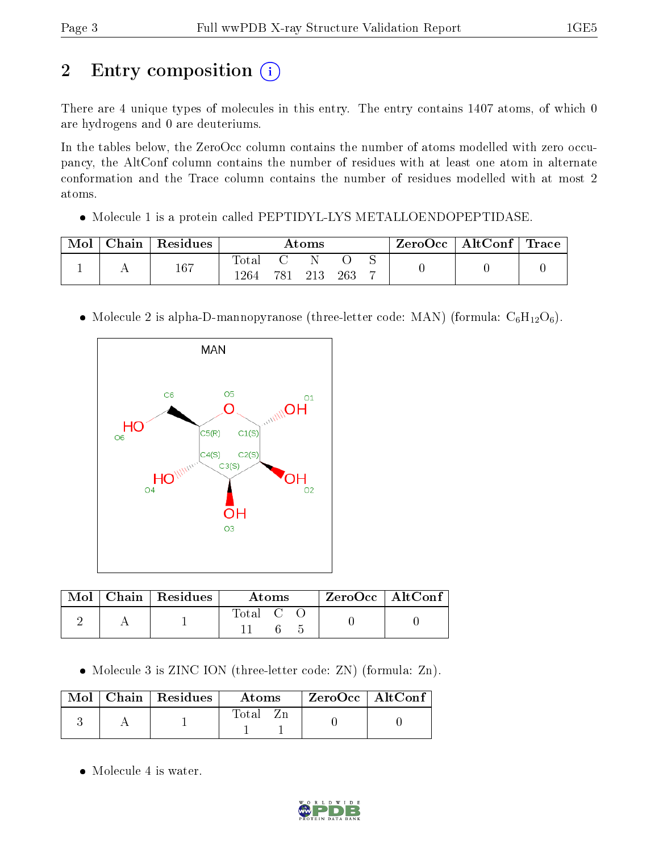# 2 Entry composition (i)

There are 4 unique types of molecules in this entry. The entry contains 1407 atoms, of which 0 are hydrogens and 0 are deuteriums.

In the tables below, the ZeroOcc column contains the number of atoms modelled with zero occupancy, the AltConf column contains the number of residues with at least one atom in alternate conformation and the Trace column contains the number of residues modelled with at most 2 atoms.

• Molecule 1 is a protein called PEPTIDYL-LYS METALLOENDOPEPTIDASE.

| Mol | Chain   Residues | Atoms |     |     | $\text{ZeroOcc} \mid \text{AltConf} \mid \text{Trace}$ |   |  |  |
|-----|------------------|-------|-----|-----|--------------------------------------------------------|---|--|--|
|     | 167              | Total |     |     |                                                        |   |  |  |
|     |                  | 264   | 781 | 213 | 263                                                    | – |  |  |

• Molecule 2 is alpha-D-mannopyranose (three-letter code: MAN) (formula:  $C_6H_{12}O_6$ ).



|  | $Mol$   Chain   Residues | Atoms              |  | $ZeroOcc$   AltConf |  |
|--|--------------------------|--------------------|--|---------------------|--|
|  |                          | $\mathrm{Total}$ C |  |                     |  |

• Molecule 3 is ZINC ION (three-letter code: ZN) (formula: Zn).

|  | $\text{Mol}$   Chain   Residues | <b>Atoms</b> | $\rm ZeroOcc \mid AltConf$ |  |
|--|---------------------------------|--------------|----------------------------|--|
|  |                                 | Total        |                            |  |

• Molecule 4 is water.

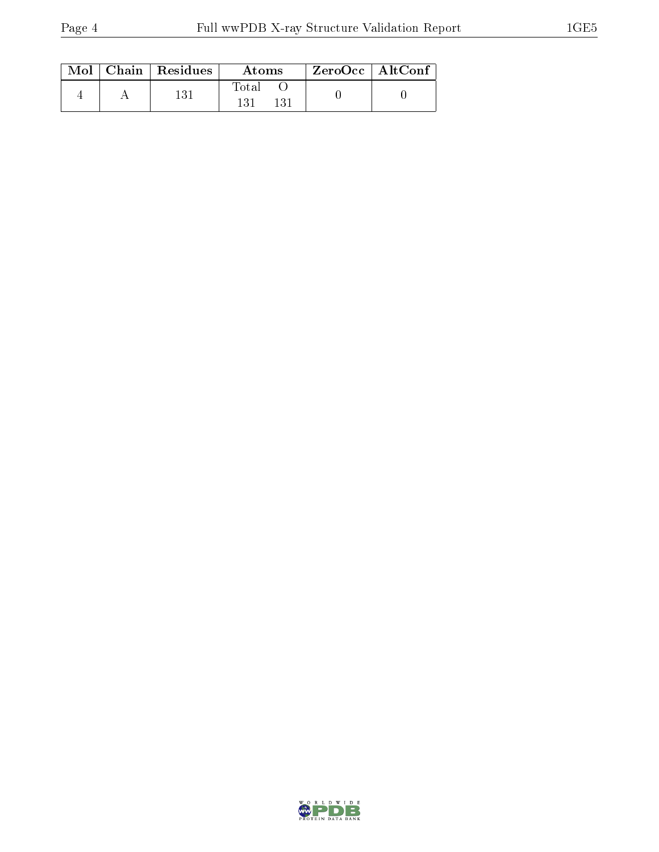|  | $Mol$   Chain   Residues | Atoms | $\rm ZeroOcc$   AltConf |  |
|--|--------------------------|-------|-------------------------|--|
|  | 131                      | Total |                         |  |

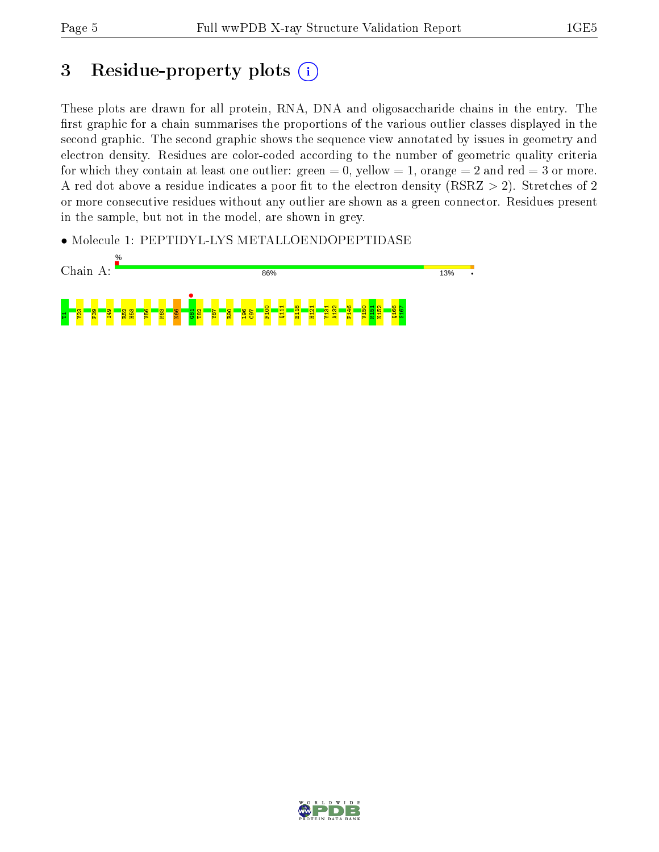# 3 Residue-property plots (i)

These plots are drawn for all protein, RNA, DNA and oligosaccharide chains in the entry. The first graphic for a chain summarises the proportions of the various outlier classes displayed in the second graphic. The second graphic shows the sequence view annotated by issues in geometry and electron density. Residues are color-coded according to the number of geometric quality criteria for which they contain at least one outlier: green  $= 0$ , yellow  $= 1$ , orange  $= 2$  and red  $= 3$  or more. A red dot above a residue indicates a poor fit to the electron density ( $RSRZ > 2$ ). Stretches of 2 or more consecutive residues without any outlier are shown as a green connector. Residues present in the sample, but not in the model, are shown in grey.

• Molecule 1: PEPTIDYL-LYS METALLOENDOPEPTIDASE



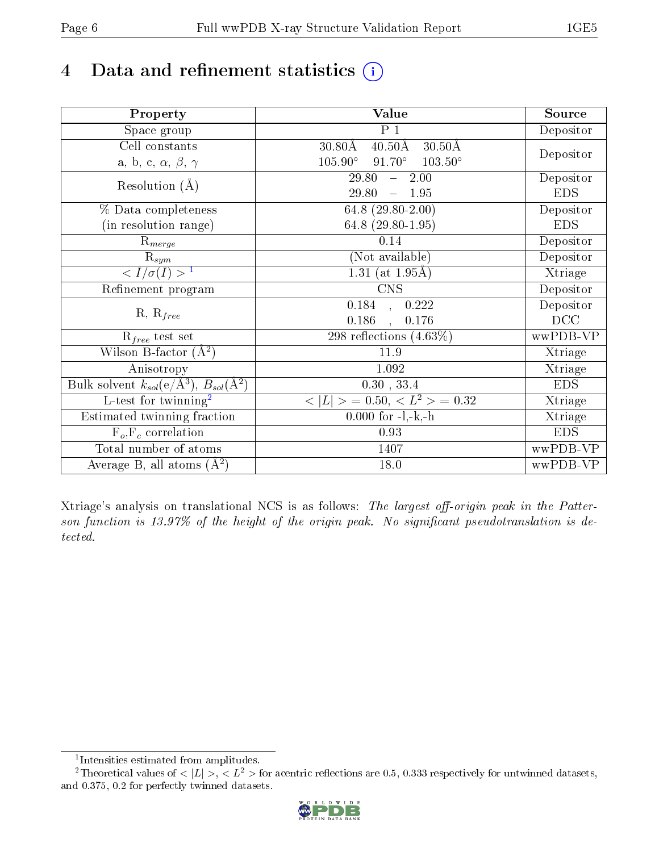# 4 Data and refinement statistics  $(i)$

| Property                                                             | Value                                                       | Source     |
|----------------------------------------------------------------------|-------------------------------------------------------------|------------|
| Space group                                                          | $P_1$                                                       | Depositor  |
| Cell constants                                                       | $40.50\text{\AA}$<br>$30.50\text{\AA}$<br>$30.80\text{\AA}$ |            |
| a, b, c, $\alpha$ , $\beta$ , $\gamma$                               | $105.90^\circ$<br>$91.70^\circ$<br>$103.50^{\circ}$         | Depositor  |
| Resolution $(A)$                                                     | 29.80<br>2.00<br>$\frac{1}{2}$                              | Depositor  |
|                                                                      | 29.80<br>$-1.95$                                            | <b>EDS</b> |
| % Data completeness                                                  | 64.8 $(29.80-2.00)$                                         | Depositor  |
| (in resolution range)                                                | 64.8 (29.80-1.95)                                           | <b>EDS</b> |
| $\mathrm{R}_{merge}$                                                 | 0.14                                                        | Depositor  |
| $\mathrm{R}_{sym}$                                                   | (Not available)                                             | Depositor  |
| $\sqrt{I/\sigma(I)} > 1$                                             | 1.31 (at $1.95\text{\AA}$ )                                 | Xtriage    |
| Refinement program                                                   | $\overline{\text{CNS}}$                                     | Depositor  |
|                                                                      | $\overline{0.184}$ ,<br>0.222                               | Depositor  |
| $R, R_{free}$                                                        | 0.186<br>0.176<br>$\ddot{\phantom{a}}$                      | DCC        |
| $R_{free}$ test set                                                  | $298$ reflections $(4.63\%)$                                | wwPDB-VP   |
| Wilson B-factor $(A^2)$                                              | 11.9                                                        | Xtriage    |
| Anisotropy                                                           | 1.092                                                       | Xtriage    |
| Bulk solvent $k_{sol}(e/\mathring{A}^3)$ , $B_{sol}(\mathring{A}^2)$ | 0.30, 33.4                                                  | <b>EDS</b> |
| $\overline{L-test for}$ twinning <sup>2</sup>                        | $< L >$ = 0.50, $< L2$ > = 0.32                             | Xtriage    |
| Estimated twinning fraction                                          | $0.000$ for $-l,-k,-h$                                      | Xtriage    |
| $F_o, F_c$ correlation                                               | 0.93                                                        | <b>EDS</b> |
| Total number of atoms                                                | 1407                                                        | wwPDB-VP   |
| Average B, all atoms $(A^2)$                                         | 18.0                                                        | wwPDB-VP   |

Xtriage's analysis on translational NCS is as follows: The largest off-origin peak in the Patterson function is  $13.97\%$  of the height of the origin peak. No significant pseudotranslation is detected.

<sup>&</sup>lt;sup>2</sup>Theoretical values of  $\langle |L| \rangle$ ,  $\langle L^2 \rangle$  for acentric reflections are 0.5, 0.333 respectively for untwinned datasets, and 0.375, 0.2 for perfectly twinned datasets.



<span id="page-5-1"></span><span id="page-5-0"></span><sup>1</sup> Intensities estimated from amplitudes.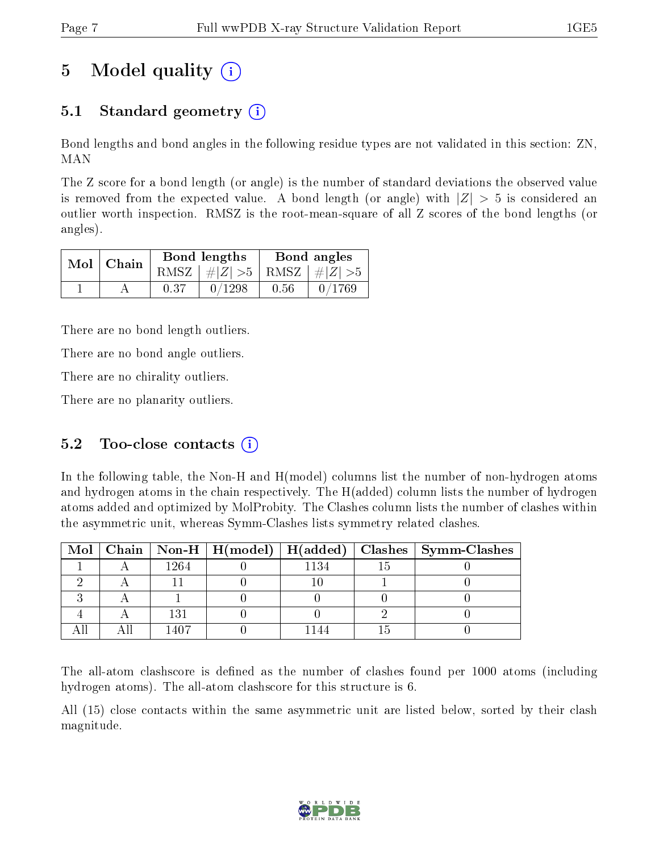# 5 Model quality  $(i)$

## 5.1 Standard geometry  $(i)$

Bond lengths and bond angles in the following residue types are not validated in this section: ZN, MAN

The Z score for a bond length (or angle) is the number of standard deviations the observed value is removed from the expected value. A bond length (or angle) with  $|Z| > 5$  is considered an outlier worth inspection. RMSZ is the root-mean-square of all Z scores of the bond lengths (or angles).

|  | $Mol$   Chain |      | Bond lengths                    | Bond angles |        |  |
|--|---------------|------|---------------------------------|-------------|--------|--|
|  |               |      | RMSZ $ #Z  > 5$ RMSZ $ #Z  > 5$ |             |        |  |
|  |               | 0.37 | 0/1298                          | 0.56        | 0/1769 |  |

There are no bond length outliers.

There are no bond angle outliers.

There are no chirality outliers.

There are no planarity outliers.

### 5.2 Too-close contacts  $(i)$

In the following table, the Non-H and H(model) columns list the number of non-hydrogen atoms and hydrogen atoms in the chain respectively. The H(added) column lists the number of hydrogen atoms added and optimized by MolProbity. The Clashes column lists the number of clashes within the asymmetric unit, whereas Symm-Clashes lists symmetry related clashes.

|  |      |      | Mol   Chain   Non-H   H(model)   H(added)   Clashes   Symm-Clashes |
|--|------|------|--------------------------------------------------------------------|
|  | 1264 | 1134 |                                                                    |
|  |      |      |                                                                    |
|  |      |      |                                                                    |
|  | 131  |      |                                                                    |
|  |      |      |                                                                    |

The all-atom clashscore is defined as the number of clashes found per 1000 atoms (including hydrogen atoms). The all-atom clashscore for this structure is 6.

All (15) close contacts within the same asymmetric unit are listed below, sorted by their clash magnitude.

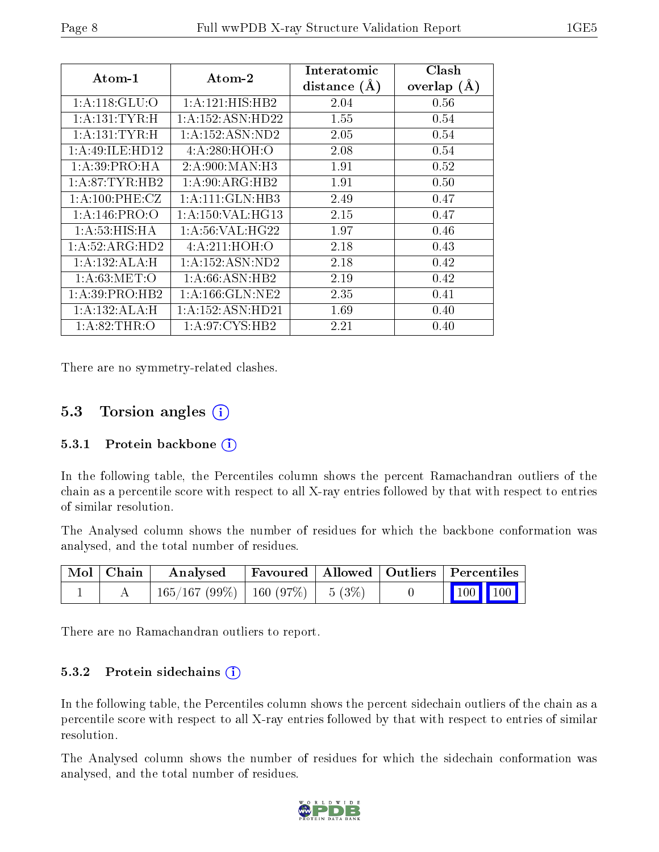| $\rm{Atom\text{-}1}$       | $\boldsymbol{\mathrm{Atom}\text{-}2}$ | Interatomic<br>distance $(A)$ | Clash<br>overlap $(A)$ |
|----------------------------|---------------------------------------|-------------------------------|------------------------|
| $1:A:118:GLU:\overline{O}$ | 1: A:121: HIS: HB2                    | 2.04                          | 0.56                   |
| 1: A: 131: TYR:H           | 1: A: 152: ASN: HD22                  | 1.55                          | 0.54                   |
| 1:A:131:TYR:H              | 1: A: 152: ASN: ND2                   | 2.05                          | 0.54                   |
| 1: A:49: ILE: HD12         | 4: A:280:HOH:O                        | 2.08                          | 0.54                   |
| 1:A:39:PRO:HA              | 2: A:900: MAN: H3                     | 1.91                          | 0.52                   |
| 1:A:87:TYR:HB2             | 1: A:90: ARG: HB2                     | 1.91                          | 0.50                   |
| 1: A:100: PHE: CZ          | 1:A:111:GLN:HB3                       | 2.49                          | 0.47                   |
| 1: A:146: PRO:O            | 1: A: 150: VAL: HG13                  | 2.15                          | 0.47                   |
| 1:A:53:HIS:HA              | 1: A:56: VAL:HG22                     | 1.97                          | 0.46                   |
| 1:A:52:ARG:HD2             | 4:A:211:HOH:O                         | 2.18                          | 0.43                   |
| 1:A:132:ALA:H              | 1: A: 152: ASN: ND2                   | 2.18                          | 0.42                   |
| 1: A:63:MET:O              | 1: A:66: ASN:HB2                      | 2.19                          | 0.42                   |
| 1: A:39: PRO:HB2           | 1: A: 166: GLN: NE2                   | 2.35                          | 0.41                   |
| 1:A:132:ALA:H              | 1:A:152:ASN:HD21                      | 1.69                          | 0.40                   |
| 1: A:82:THR:O              | 1: A:97: CYS:HB2                      | 2.21                          | 0.40                   |

There are no symmetry-related clashes.

### 5.3 Torsion angles (i)

#### 5.3.1 Protein backbone  $(i)$

In the following table, the Percentiles column shows the percent Ramachandran outliers of the chain as a percentile score with respect to all X-ray entries followed by that with respect to entries of similar resolution.

The Analysed column shows the number of residues for which the backbone conformation was analysed, and the total number of residues.

| $\mid$ Mol $\mid$ Chain $\mid$ | Analysed                                | Favoured   Allowed   Outliers   Percentiles |  |                                                              |
|--------------------------------|-----------------------------------------|---------------------------------------------|--|--------------------------------------------------------------|
|                                | $165/167 (99\%)$   160 (97\%)   5 (3\%) |                                             |  | $\begin{array}{ c c c c c }\n\hline\n100 & 100\n\end{array}$ |

There are no Ramachandran outliers to report.

#### 5.3.2 Protein sidechains  $(i)$

In the following table, the Percentiles column shows the percent sidechain outliers of the chain as a percentile score with respect to all X-ray entries followed by that with respect to entries of similar resolution.

The Analysed column shows the number of residues for which the sidechain conformation was analysed, and the total number of residues.

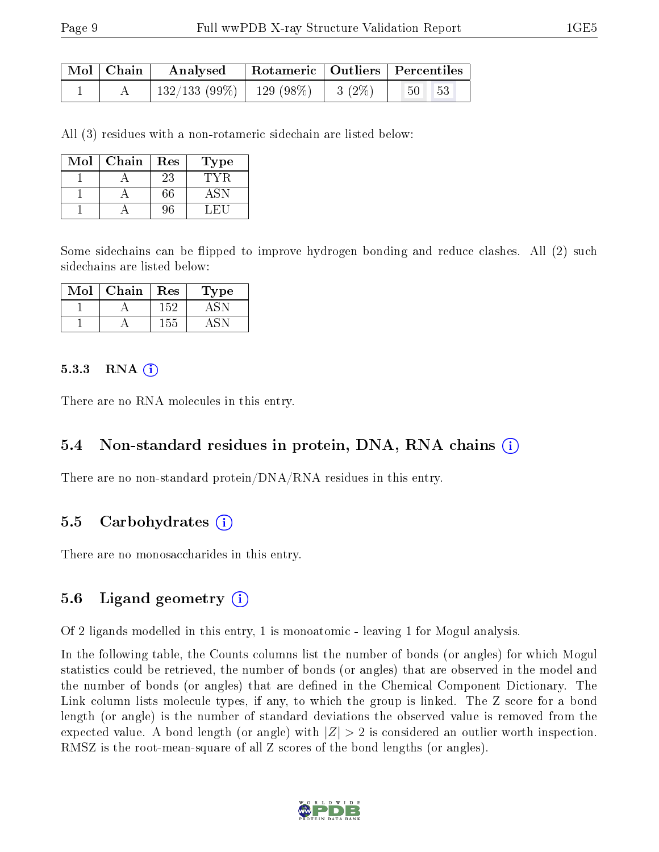| Mol   Chain | Analysed                     |                   | Rotameric   Outliers   Percentiles |  |
|-------------|------------------------------|-------------------|------------------------------------|--|
|             | $132/133(99\%)$   129 (98\%) | $1\quad 3\ (2\%)$ | $\sqrt{50}$<br> 53                 |  |

All (3) residues with a non-rotameric sidechain are listed below:

| Mol | Chain | Res | Type |
|-----|-------|-----|------|
|     |       | 23  |      |
|     |       | 66  |      |
|     |       |     |      |

Some sidechains can be flipped to improve hydrogen bonding and reduce clashes. All (2) such sidechains are listed below:

| Mol | Chain | Res | 1'ype |
|-----|-------|-----|-------|
|     |       | 152 |       |
|     |       |     |       |

#### $5.3.3$  RNA  $(i)$

There are no RNA molecules in this entry.

#### 5.4 Non-standard residues in protein, DNA, RNA chains (i)

There are no non-standard protein/DNA/RNA residues in this entry.

#### 5.5 Carbohydrates (i)

There are no monosaccharides in this entry.

#### 5.6 Ligand geometry (i)

Of 2 ligands modelled in this entry, 1 is monoatomic - leaving 1 for Mogul analysis.

In the following table, the Counts columns list the number of bonds (or angles) for which Mogul statistics could be retrieved, the number of bonds (or angles) that are observed in the model and the number of bonds (or angles) that are defined in the Chemical Component Dictionary. The Link column lists molecule types, if any, to which the group is linked. The Z score for a bond length (or angle) is the number of standard deviations the observed value is removed from the expected value. A bond length (or angle) with  $|Z| > 2$  is considered an outlier worth inspection. RMSZ is the root-mean-square of all Z scores of the bond lengths (or angles).

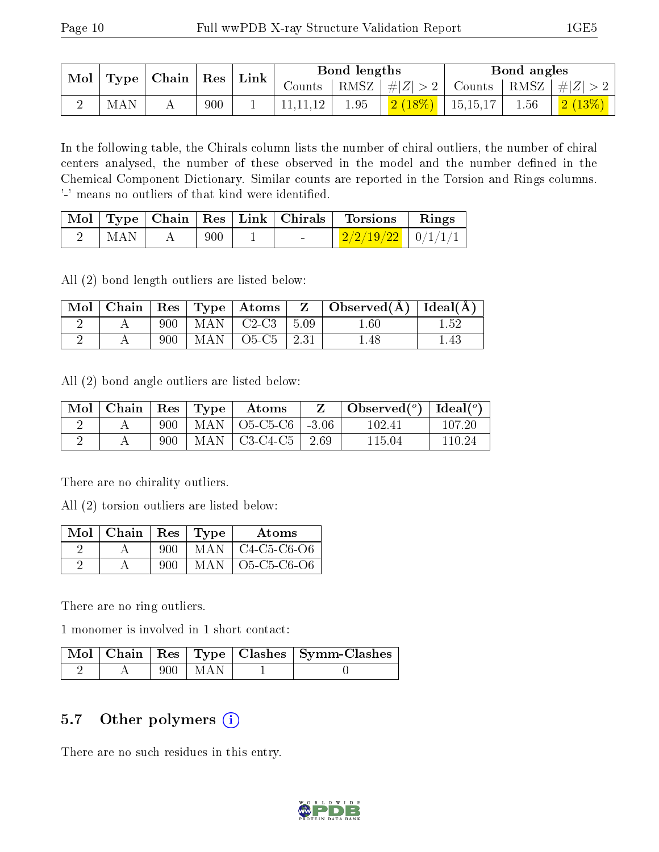| $\mid$ Mol $\mid$<br>$\mid$ Type $\mid$ Chain $\mid$ Res $\mid$ Link $\mid$ |  | Bond lengths |  |      | Bond angles |  |  |                                                                                      |
|-----------------------------------------------------------------------------|--|--------------|--|------|-------------|--|--|--------------------------------------------------------------------------------------|
|                                                                             |  |              |  |      |             |  |  | Counts   RMSZ $\mid \#  Z  > 2$   Counts   RMSZ $\mid \#  Z  > 2$                    |
| MAN                                                                         |  | 900          |  | 1.95 |             |  |  | $\left[\begin{array}{c c c c} 2(18\%)&15{,}15{,}17&1.56&1&2(13\%)\end{array}\right]$ |

In the following table, the Chirals column lists the number of chiral outliers, the number of chiral centers analysed, the number of these observed in the model and the number defined in the Chemical Component Dictionary. Similar counts are reported in the Torsion and Rings columns. '-' means no outliers of that kind were identified.

|                             |                           |        | Mol   Type   Chain   Res   Link   Chirals   Torsions   Rings |  |
|-----------------------------|---------------------------|--------|--------------------------------------------------------------|--|
| $\parallel$ MAN $\parallel$ | $. \hspace{1mm} 900$ $^+$ | $\sim$ | $\mid 2/2/19/22 \mid 0/1/1/1 \mid$                           |  |

All (2) bond length outliers are listed below:

|  |     |                                        | $\mid$ Mol $\mid$ Chain $\mid$ Res $\mid$ Type $\mid$ Atoms $\mid$ Z $\mid$ Observed(A) $\mid$ Ideal(A) |          |
|--|-----|----------------------------------------|---------------------------------------------------------------------------------------------------------|----------|
|  | 900 | $\vert$ MAN $\vert$ C2-C3 $\vert$ 5.09 | $1.60\,$                                                                                                |          |
|  | 900 | MAN   O5-C5   2.31                     | 1.48                                                                                                    | $1.43\,$ |

All (2) bond angle outliers are listed below:

| $\parallel$ Mol $\parallel$ Chain $\parallel$ Res $\parallel$ Type $\parallel$ |     | Atoms                             | $\vert$ Observed $(^\circ)$ $\vert$ Ideal $(^\circ)$ |        |
|--------------------------------------------------------------------------------|-----|-----------------------------------|------------------------------------------------------|--------|
|                                                                                | 900 | MAN   O5-C5-C6   -3.06 $^{\circ}$ | 102.41                                               | 107.20 |
|                                                                                | 900 | $MAN   C3-C4-C5   2.69$           | 115.04                                               | 110.24 |

There are no chirality outliers.

All (2) torsion outliers are listed below:

| Mol | $\mid$ Chain | $\operatorname{Res}$ | $\vert$ Type | Atoms                                       |
|-----|--------------|----------------------|--------------|---------------------------------------------|
|     |              | 900                  | MAN          | $C4-C5-C6-O6$                               |
|     |              | 900                  | MAN          | $O5$ -C <sub>5</sub> -C <sub>6</sub> - $O6$ |

There are no ring outliers.

1 monomer is involved in 1 short contact:

|  |       |       | Mol   Chain   Res   Type   Clashes   Symm-Clashes |
|--|-------|-------|---------------------------------------------------|
|  | 900 - | I MAN |                                                   |

### 5.7 [O](https://www.wwpdb.org/validation/2017/XrayValidationReportHelp#nonstandard_residues_and_ligands)ther polymers (i)

There are no such residues in this entry.

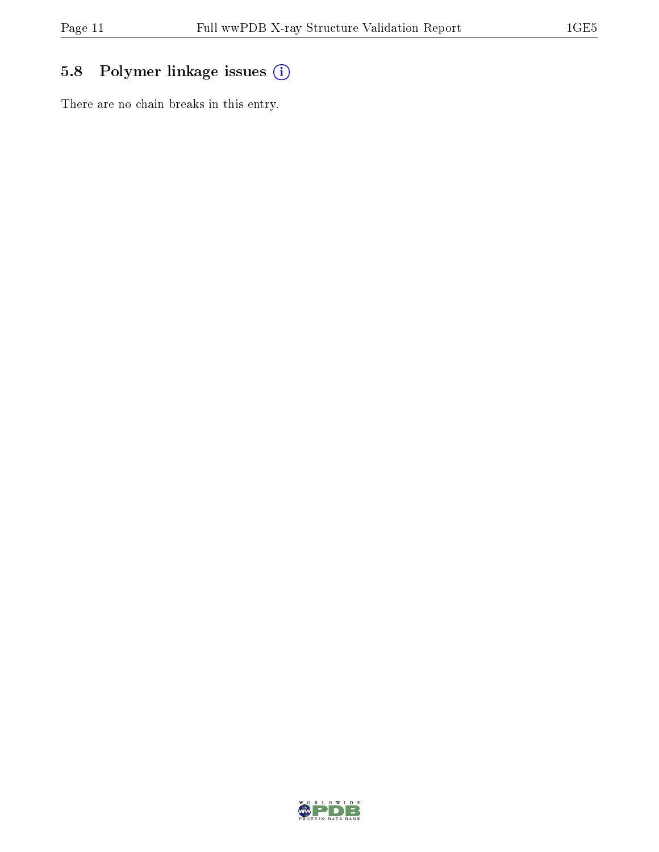## 5.8 Polymer linkage issues (i)

There are no chain breaks in this entry.